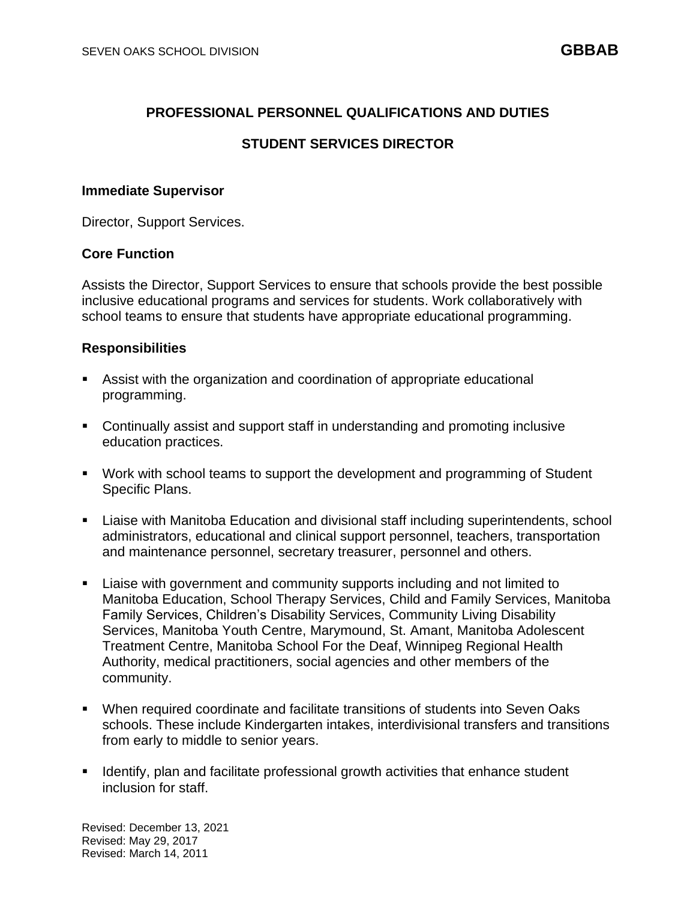# **PROFESSIONAL PERSONNEL QUALIFICATIONS AND DUTIES**

# **STUDENT SERVICES DIRECTOR**

#### **Immediate Supervisor**

Director, Support Services.

### **Core Function**

Assists the Director, Support Services to ensure that schools provide the best possible inclusive educational programs and services for students. Work collaboratively with school teams to ensure that students have appropriate educational programming.

### **Responsibilities**

- Assist with the organization and coordination of appropriate educational programming.
- Continually assist and support staff in understanding and promoting inclusive education practices.
- Work with school teams to support the development and programming of Student Specific Plans.
- Liaise with Manitoba Education and divisional staff including superintendents, school administrators, educational and clinical support personnel, teachers, transportation and maintenance personnel, secretary treasurer, personnel and others.
- Liaise with government and community supports including and not limited to Manitoba Education, School Therapy Services, Child and Family Services, Manitoba Family Services, Children's Disability Services, Community Living Disability Services, Manitoba Youth Centre, Marymound, St. Amant, Manitoba Adolescent Treatment Centre, Manitoba School For the Deaf, Winnipeg Regional Health Authority, medical practitioners, social agencies and other members of the community.
- When required coordinate and facilitate transitions of students into Seven Oaks schools. These include Kindergarten intakes, interdivisional transfers and transitions from early to middle to senior years.
- Identify, plan and facilitate professional growth activities that enhance student inclusion for staff.

Revised: December 13, 2021 Revised: May 29, 2017 Revised: March 14, 2011